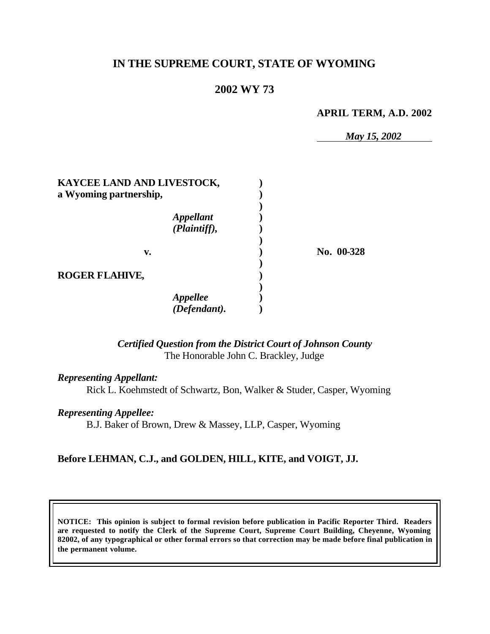# **IN THE SUPREME COURT, STATE OF WYOMING**

# **2002 WY 73**

#### **APRIL TERM, A.D. 2002**

*May 15, 2002*

| KAYCEE LAND AND LIVESTOCK,<br>a Wyoming partnership, |                                 |            |
|------------------------------------------------------|---------------------------------|------------|
|                                                      | <i><b>Appellant</b></i>         |            |
|                                                      | (Plaintiff),                    |            |
| v.                                                   |                                 | No. 00-328 |
| <b>ROGER FLAHIVE,</b>                                |                                 |            |
|                                                      | <b>Appellee</b><br>(Defendant). |            |

*Certified Question from the District Court of Johnson County* The Honorable John C. Brackley, Judge

*Representing Appellant:*

Rick L. Koehmstedt of Schwartz, Bon, Walker & Studer, Casper, Wyoming

*Representing Appellee:*

B.J. Baker of Brown, Drew & Massey, LLP, Casper, Wyoming

## **Before LEHMAN, C.J., and GOLDEN, HILL, KITE, and VOIGT, JJ.**

**NOTICE: This opinion is subject to formal revision before publication in Pacific Reporter Third. Readers are requested to notify the Clerk of the Supreme Court, Supreme Court Building, Cheyenne, Wyoming 82002, of any typographical or other formal errors so that correction may be made before final publication in the permanent volume.**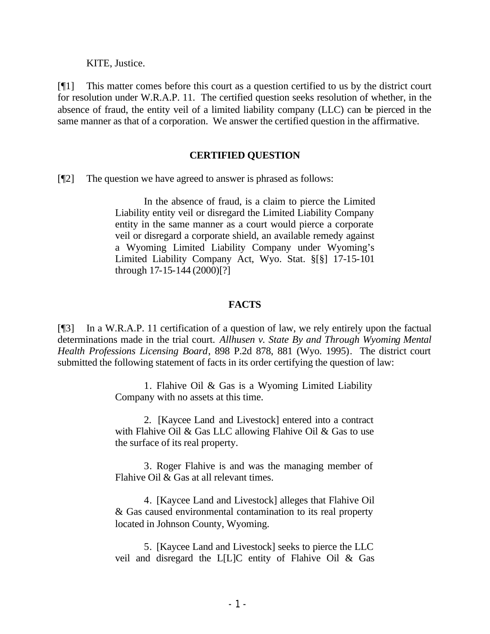KITE, Justice.

[¶1] This matter comes before this court as a question certified to us by the district court for resolution under W.R.A.P. 11. The certified question seeks resolution of whether, in the absence of fraud, the entity veil of a limited liability company (LLC) can be pierced in the same manner as that of a corporation. We answer the certified question in the affirmative.

### **CERTIFIED QUESTION**

[¶2] The question we have agreed to answer is phrased as follows:

In the absence of fraud, is a claim to pierce the Limited Liability entity veil or disregard the Limited Liability Company entity in the same manner as a court would pierce a corporate veil or disregard a corporate shield, an available remedy against a Wyoming Limited Liability Company under Wyoming's Limited Liability Company Act, Wyo. Stat. §[§] 17-15-101 through 17-15-144 (2000)[?]

## **FACTS**

[¶3] In a W.R.A.P. 11 certification of a question of law, we rely entirely upon the factual determinations made in the trial court. *Allhusen v. State By and Through Wyoming Mental Health Professions Licensing Board*, 898 P.2d 878, 881 (Wyo. 1995). The district court submitted the following statement of facts in its order certifying the question of law:

> 1. Flahive Oil & Gas is a Wyoming Limited Liability Company with no assets at this time.

2. [Kaycee Land and Livestock] entered into a contract with Flahive Oil & Gas LLC allowing Flahive Oil & Gas to use the surface of its real property.

3. Roger Flahive is and was the managing member of Flahive Oil & Gas at all relevant times.

4. [Kaycee Land and Livestock] alleges that Flahive Oil & Gas caused environmental contamination to its real property located in Johnson County, Wyoming.

5. [Kaycee Land and Livestock] seeks to pierce the LLC veil and disregard the L[L]C entity of Flahive Oil & Gas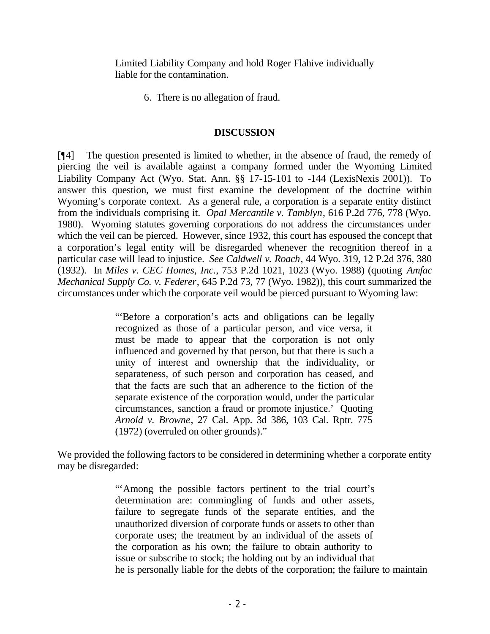Limited Liability Company and hold Roger Flahive individually liable for the contamination.

6. There is no allegation of fraud.

### **DISCUSSION**

[¶4] The question presented is limited to whether, in the absence of fraud, the remedy of piercing the veil is available against a company formed under the Wyoming Limited Liability Company Act (Wyo. Stat. Ann. §§ 17-15-101 to -144 (LexisNexis 2001)). To answer this question, we must first examine the development of the doctrine within Wyoming's corporate context. As a general rule, a corporation is a separate entity distinct from the individuals comprising it. *Opal Mercantile v. Tamblyn*, 616 P.2d 776, 778 (Wyo. 1980). Wyoming statutes governing corporations do not address the circumstances under which the veil can be pierced. However, since 1932, this court has espoused the concept that a corporation's legal entity will be disregarded whenever the recognition thereof in a particular case will lead to injustice. *See Caldwell v. Roach*, 44 Wyo. 319, 12 P.2d 376, 380 (1932). In *Miles v. CEC Homes, Inc.*, 753 P.2d 1021, 1023 (Wyo. 1988) (quoting *Amfac Mechanical Supply Co. v. Federer*, 645 P.2d 73, 77 (Wyo. 1982)), this court summarized the circumstances under which the corporate veil would be pierced pursuant to Wyoming law:

> "'Before a corporation's acts and obligations can be legally recognized as those of a particular person, and vice versa, it must be made to appear that the corporation is not only influenced and governed by that person, but that there is such a unity of interest and ownership that the individuality, or separateness, of such person and corporation has ceased, and that the facts are such that an adherence to the fiction of the separate existence of the corporation would, under the particular circumstances, sanction a fraud or promote injustice.' Quoting *Arnold v. Browne*, 27 Cal. App. 3d 386, 103 Cal. Rptr. 775 (1972) (overruled on other grounds)."

We provided the following factors to be considered in determining whether a corporate entity may be disregarded:

> "'Among the possible factors pertinent to the trial court's determination are: commingling of funds and other assets, failure to segregate funds of the separate entities, and the unauthorized diversion of corporate funds or assets to other than corporate uses; the treatment by an individual of the assets of the corporation as his own; the failure to obtain authority to issue or subscribe to stock; the holding out by an individual that he is personally liable for the debts of the corporation; the failure to maintain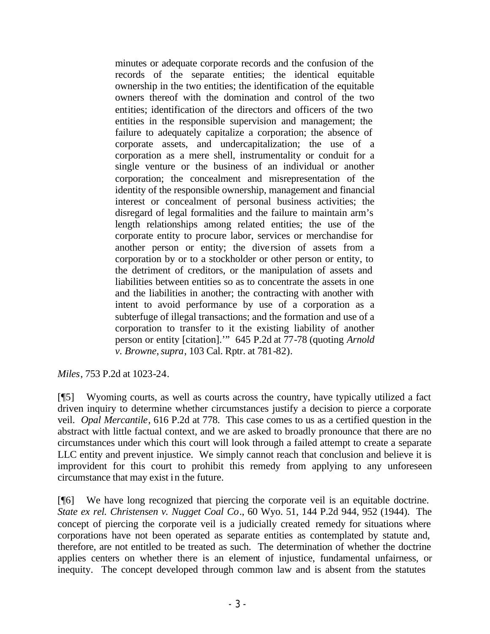minutes or adequate corporate records and the confusion of the records of the separate entities; the identical equitable ownership in the two entities; the identification of the equitable owners thereof with the domination and control of the two entities; identification of the directors and officers of the two entities in the responsible supervision and management; the failure to adequately capitalize a corporation; the absence of corporate assets, and undercapitalization; the use of a corporation as a mere shell, instrumentality or conduit for a single venture or the business of an individual or another corporation; the concealment and misrepresentation of the identity of the responsible ownership, management and financial interest or concealment of personal business activities; the disregard of legal formalities and the failure to maintain arm's length relationships among related entities; the use of the corporate entity to procure labor, services or merchandise for another person or entity; the diversion of assets from a corporation by or to a stockholder or other person or entity, to the detriment of creditors, or the manipulation of assets and liabilities between entities so as to concentrate the assets in one and the liabilities in another; the contracting with another with intent to avoid performance by use of a corporation as a subterfuge of illegal transactions; and the formation and use of a corporation to transfer to it the existing liability of another person or entity [citation].'" 645 P.2d at 77-78 (quoting *Arnold v. Browne*, *supra*, 103 Cal. Rptr. at 781-82).

*Miles*, 753 P.2d at 1023-24.

[¶5] Wyoming courts, as well as courts across the country, have typically utilized a fact driven inquiry to determine whether circumstances justify a decision to pierce a corporate veil. *Opal Mercantile*, 616 P.2d at 778. This case comes to us as a certified question in the abstract with little factual context, and we are asked to broadly pronounce that there are no circumstances under which this court will look through a failed attempt to create a separate LLC entity and prevent injustice. We simply cannot reach that conclusion and believe it is improvident for this court to prohibit this remedy from applying to any unforeseen circumstance that may exist in the future.

[¶6] We have long recognized that piercing the corporate veil is an equitable doctrine. *State ex rel. Christensen v. Nugget Coal Co*., 60 Wyo. 51, 144 P.2d 944, 952 (1944). The concept of piercing the corporate veil is a judicially created remedy for situations where corporations have not been operated as separate entities as contemplated by statute and, therefore, are not entitled to be treated as such. The determination of whether the doctrine applies centers on whether there is an element of injustice, fundamental unfairness, or inequity. The concept developed through common law and is absent from the statutes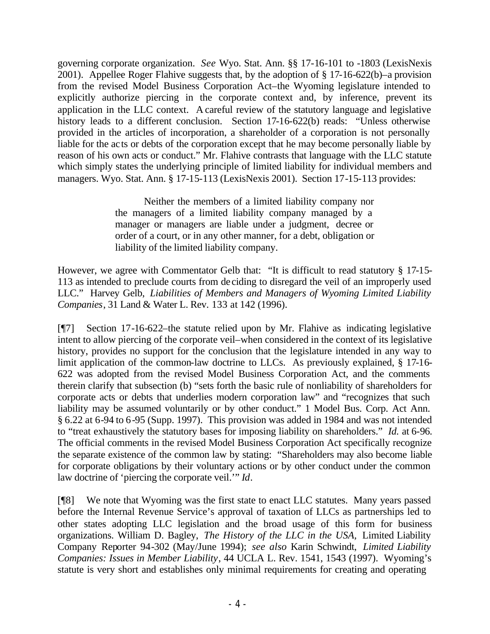governing corporate organization. *See* Wyo. Stat. Ann. §§ 17-16-101 to -1803 (LexisNexis 2001). Appellee Roger Flahive suggests that, by the adoption of § 17-16-622(b)–a provision from the revised Model Business Corporation Act–the Wyoming legislature intended to explicitly authorize piercing in the corporate context and, by inference, prevent its application in the LLC context. A careful review of the statutory language and legislative history leads to a different conclusion. Section 17-16-622(b) reads: "Unless otherwise provided in the articles of incorporation, a shareholder of a corporation is not personally liable for the acts or debts of the corporation except that he may become personally liable by reason of his own acts or conduct." Mr. Flahive contrasts that language with the LLC statute which simply states the underlying principle of limited liability for individual members and managers. Wyo. Stat. Ann. § 17-15-113 (LexisNexis 2001). Section 17-15-113 provides:

> Neither the members of a limited liability company nor the managers of a limited liability company managed by a manager or managers are liable under a judgment, decree or order of a court, or in any other manner, for a debt, obligation or liability of the limited liability company.

However, we agree with Commentator Gelb that: "It is difficult to read statutory § 17-15- 113 as intended to preclude courts from deciding to disregard the veil of an improperly used LLC." Harvey Gelb, *Liabilities of Members and Managers of Wyoming Limited Liability Companies*, 31 Land & Water L. Rev. 133 at 142 (1996).

[¶7] Section 17-16-622–the statute relied upon by Mr. Flahive as indicating legislative intent to allow piercing of the corporate veil–when considered in the context of its legislative history, provides no support for the conclusion that the legislature intended in any way to limit application of the common-law doctrine to LLCs. As previously explained, § 17-16- 622 was adopted from the revised Model Business Corporation Act, and the comments therein clarify that subsection (b) "sets forth the basic rule of nonliability of shareholders for corporate acts or debts that underlies modern corporation law" and "recognizes that such liability may be assumed voluntarily or by other conduct." 1 Model Bus. Corp. Act Ann. § 6.22 at 6-94 to 6-95 (Supp. 1997). This provision was added in 1984 and was not intended to "treat exhaustively the statutory bases for imposing liability on shareholders." *Id.* at 6-96. The official comments in the revised Model Business Corporation Act specifically recognize the separate existence of the common law by stating: "Shareholders may also become liable for corporate obligations by their voluntary actions or by other conduct under the common law doctrine of 'piercing the corporate veil.'" *Id*.

[¶8] We note that Wyoming was the first state to enact LLC statutes. Many years passed before the Internal Revenue Service's approval of taxation of LLCs as partnerships led to other states adopting LLC legislation and the broad usage of this form for business organizations. William D. Bagley, *The History of the LLC in the USA,* Limited Liability Company Reporter 94-302 (May/June 1994); *see also* Karin Schwindt, *Limited Liability Companies: Issues in Member Liability*, 44 UCLA L. Rev. 1541, 1543 (1997). Wyoming's statute is very short and establishes only minimal requirements for creating and operating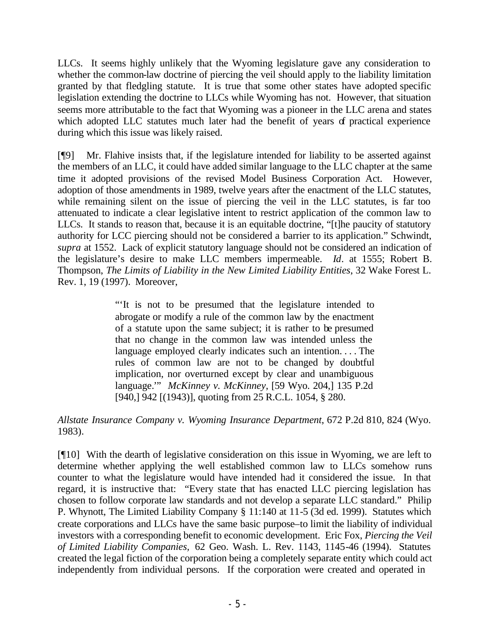LLCs. It seems highly unlikely that the Wyoming legislature gave any consideration to whether the common-law doctrine of piercing the veil should apply to the liability limitation granted by that fledgling statute. It is true that some other states have adopted specific legislation extending the doctrine to LLCs while Wyoming has not. However, that situation seems more attributable to the fact that Wyoming was a pioneer in the LLC arena and states which adopted LLC statutes much later had the benefit of years of practical experience during which this issue was likely raised.

[¶9] Mr. Flahive insists that, if the legislature intended for liability to be asserted against the members of an LLC, it could have added similar language to the LLC chapter at the same time it adopted provisions of the revised Model Business Corporation Act. However, adoption of those amendments in 1989, twelve years after the enactment of the LLC statutes, while remaining silent on the issue of piercing the veil in the LLC statutes, is far too attenuated to indicate a clear legislative intent to restrict application of the common law to LLCs. It stands to reason that, because it is an equitable doctrine, "[t]he paucity of statutory authority for LCC piercing should not be considered a barrier to its application." Schwindt, *supra* at 1552. Lack of explicit statutory language should not be considered an indication of the legislature's desire to make LLC members impermeable. *Id*. at 1555; Robert B. Thompson, *The Limits of Liability in the New Limited Liability Entities*, 32 Wake Forest L. Rev. 1, 19 (1997). Moreover,

> "'It is not to be presumed that the legislature intended to abrogate or modify a rule of the common law by the enactment of a statute upon the same subject; it is rather to be presumed that no change in the common law was intended unless the language employed clearly indicates such an intention. . . . The rules of common law are not to be changed by doubtful implication, nor overturned except by clear and unambiguous language.'" *McKinney v. McKinney*, [59 Wyo. 204,] 135 P.2d [940,] 942 [(1943)], quoting from 25 R.C.L. 1054, § 280.

*Allstate Insurance Company v. Wyoming Insurance Department*, 672 P.2d 810, 824 (Wyo. 1983).

[¶10] With the dearth of legislative consideration on this issue in Wyoming, we are left to determine whether applying the well established common law to LLCs somehow runs counter to what the legislature would have intended had it considered the issue. In that regard, it is instructive that: "Every state that has enacted LLC piercing legislation has chosen to follow corporate law standards and not develop a separate LLC standard." Philip P. Whynott, The Limited Liability Company § 11:140 at 11-5 (3d ed. 1999). Statutes which create corporations and LLCs have the same basic purpose–to limit the liability of individual investors with a corresponding benefit to economic development. Eric Fox, *Piercing the Veil of Limited Liability Companies,* 62 Geo. Wash. L. Rev. 1143, 1145-46 (1994). Statutes created the legal fiction of the corporation being a completely separate entity which could act independently from individual persons. If the corporation were created and operated in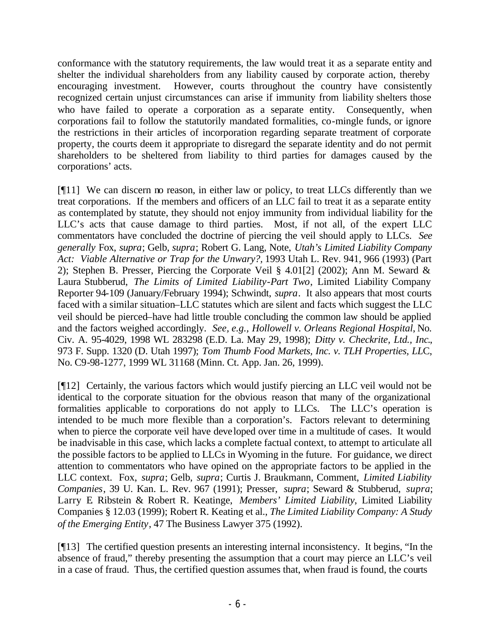conformance with the statutory requirements, the law would treat it as a separate entity and shelter the individual shareholders from any liability caused by corporate action, thereby encouraging investment. However, courts throughout the country have consistently recognized certain unjust circumstances can arise if immunity from liability shelters those who have failed to operate a corporation as a separate entity. Consequently, when corporations fail to follow the statutorily mandated formalities, co-mingle funds, or ignore the restrictions in their articles of incorporation regarding separate treatment of corporate property, the courts deem it appropriate to disregard the separate identity and do not permit shareholders to be sheltered from liability to third parties for damages caused by the corporations' acts.

[¶11] We can discern no reason, in either law or policy, to treat LLCs differently than we treat corporations. If the members and officers of an LLC fail to treat it as a separate entity as contemplated by statute, they should not enjoy immunity from individual liability for the LLC's acts that cause damage to third parties. Most, if not all, of the expert LLC commentators have concluded the doctrine of piercing the veil should apply to LLCs. *See generally* Fox, *supra*; Gelb, *supra*; Robert G. Lang, Note, *Utah's Limited Liability Company Act: Viable Alternative or Trap for the Unwary?,* 1993 Utah L. Rev. 941, 966 (1993) (Part 2); Stephen B. Presser, Piercing the Corporate Veil § 4.01[2] (2002); Ann M. Seward & Laura Stubberud, *The Limits of Limited Liability-Part Two*, Limited Liability Company Reporter 94-109 (January/February 1994); Schwindt, *supra*. It also appears that most courts faced with a similar situation–LLC statutes which are silent and facts which suggest the LLC veil should be pierced–have had little trouble concluding the common law should be applied and the factors weighed accordingly. *See, e.g., Hollowell v. Orleans Regional Hospital*, No. Civ. A. 95-4029, 1998 WL 283298 (E.D. La. May 29, 1998); *Ditty v. Checkrite, Ltd., Inc*., 973 F. Supp. 1320 (D. Utah 1997); *Tom Thumb Food Markets, Inc. v. TLH Properties, LL*C, No. C9-98-1277, 1999 WL 31168 (Minn. Ct. App. Jan. 26, 1999).

[¶12] Certainly, the various factors which would justify piercing an LLC veil would not be identical to the corporate situation for the obvious reason that many of the organizational formalities applicable to corporations do not apply to LLCs. The LLC's operation is intended to be much more flexible than a corporation's. Factors relevant to determining when to pierce the corporate veil have developed over time in a multitude of cases. It would be inadvisable in this case, which lacks a complete factual context, to attempt to articulate all the possible factors to be applied to LLCs in Wyoming in the future. For guidance, we direct attention to commentators who have opined on the appropriate factors to be applied in the LLC context. Fox, *supra*; Gelb, *supra*; Curtis J. Braukmann, Comment, *Limited Liability Companies*, 39 U. Kan. L. Rev. 967 (1991); Presser, *supra*; Seward & Stubberud, *supra*; Larry E. Ribstein & Robert R. Keatinge, *Members' Limited Liability*, Limited Liability Companies § 12.03 (1999); Robert R. Keating et al., *The Limited Liability Company: A Study of the Emerging Entity*, 47 The Business Lawyer 375 (1992).

[¶13] The certified question presents an interesting internal inconsistency. It begins, "In the absence of fraud," thereby presenting the assumption that a court may pierce an LLC's veil in a case of fraud. Thus, the certified question assumes that, when fraud is found, the courts